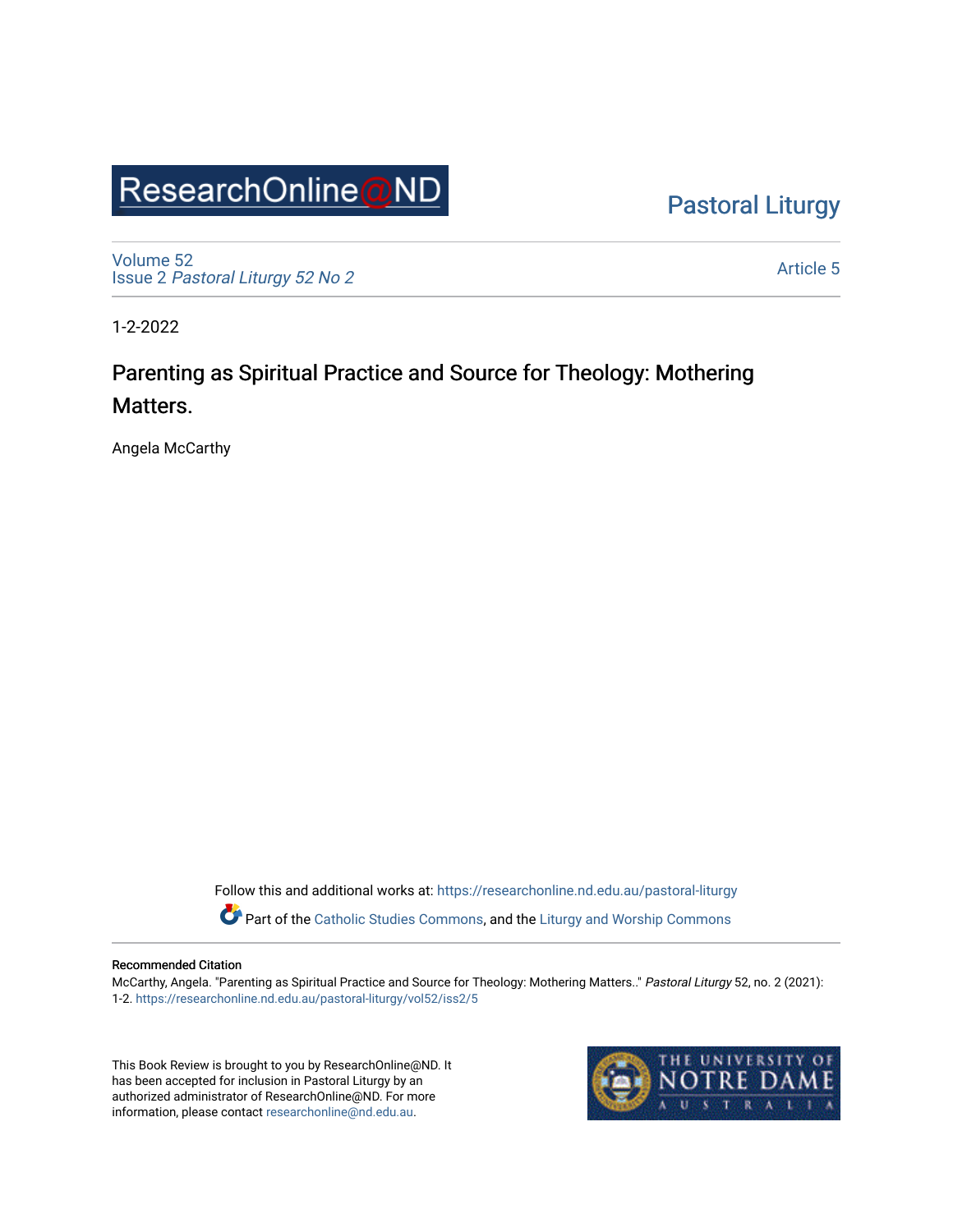## ResearchOnline@ND

[Pastoral Liturgy](https://researchonline.nd.edu.au/pastoral-liturgy) 

[Volume 52](https://researchonline.nd.edu.au/pastoral-liturgy/vol52) Issue 2 [Pastoral Liturgy 52 No 2](https://researchonline.nd.edu.au/pastoral-liturgy/vol52/iss2)

[Article 5](https://researchonline.nd.edu.au/pastoral-liturgy/vol52/iss2/5) 

1-2-2022

## Parenting as Spiritual Practice and Source for Theology: Mothering Matters.

Angela McCarthy

Follow this and additional works at: [https://researchonline.nd.edu.au/pastoral-liturgy](https://researchonline.nd.edu.au/pastoral-liturgy?utm_source=researchonline.nd.edu.au%2Fpastoral-liturgy%2Fvol52%2Fiss2%2F5&utm_medium=PDF&utm_campaign=PDFCoverPages)

Part of the [Catholic Studies Commons,](http://network.bepress.com/hgg/discipline/1294?utm_source=researchonline.nd.edu.au%2Fpastoral-liturgy%2Fvol52%2Fiss2%2F5&utm_medium=PDF&utm_campaign=PDFCoverPages) and the [Liturgy and Worship Commons](http://network.bepress.com/hgg/discipline/1188?utm_source=researchonline.nd.edu.au%2Fpastoral-liturgy%2Fvol52%2Fiss2%2F5&utm_medium=PDF&utm_campaign=PDFCoverPages) 

## Recommended Citation

McCarthy, Angela. "Parenting as Spiritual Practice and Source for Theology: Mothering Matters.." Pastoral Liturgy 52, no. 2 (2021): 1-2. [https://researchonline.nd.edu.au/pastoral-liturgy/vol52/iss2/5](https://researchonline.nd.edu.au/pastoral-liturgy/vol52/iss2/5?utm_source=researchonline.nd.edu.au%2Fpastoral-liturgy%2Fvol52%2Fiss2%2F5&utm_medium=PDF&utm_campaign=PDFCoverPages)

This Book Review is brought to you by ResearchOnline@ND. It has been accepted for inclusion in Pastoral Liturgy by an authorized administrator of ResearchOnline@ND. For more information, please contact [researchonline@nd.edu.au.](mailto:researchonline@nd.edu.au)

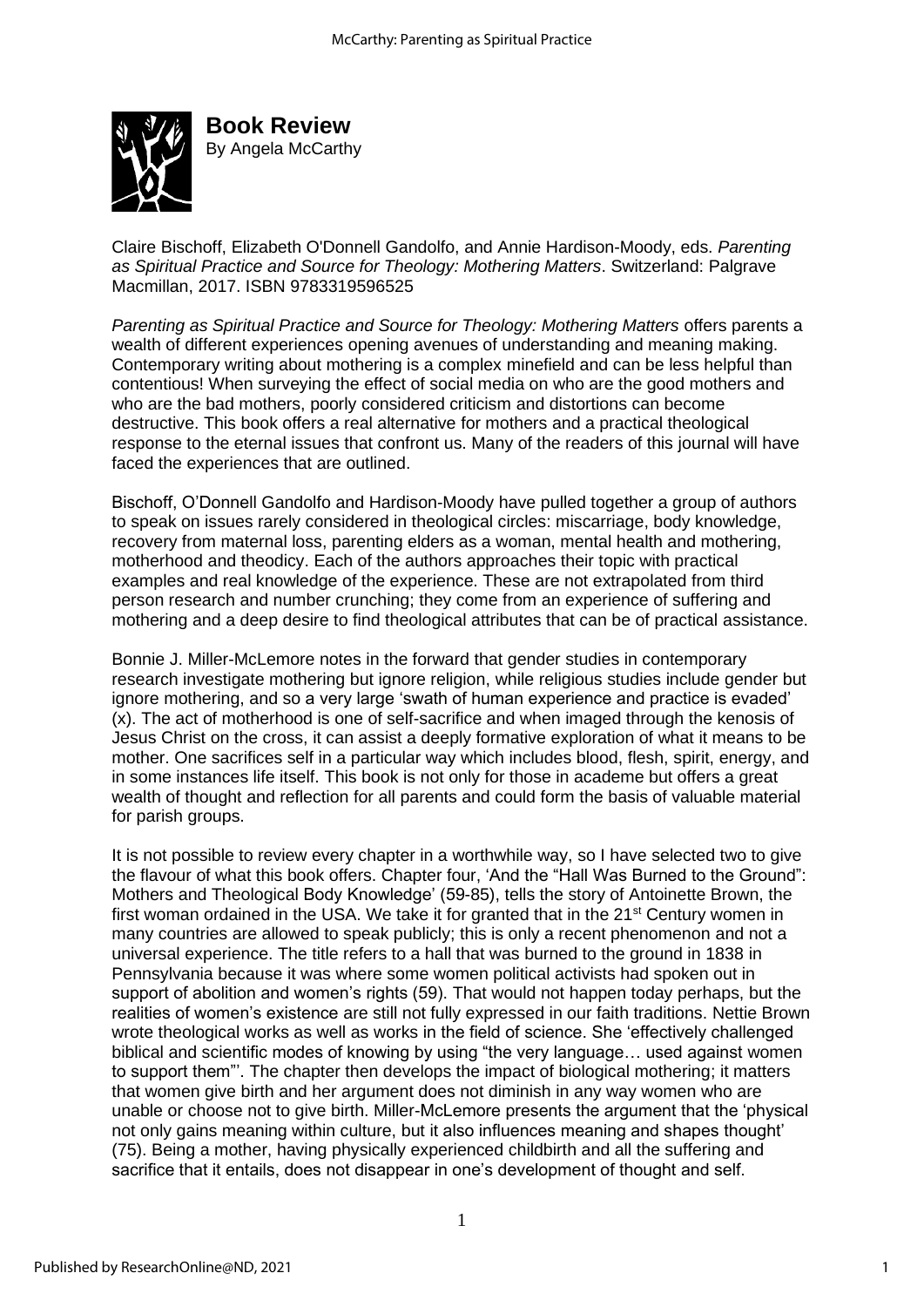

**Book Review**  By Angela McCarthy

Claire Bischoff, Elizabeth O'Donnell Gandolfo, and Annie Hardison-Moody, eds. *Parenting as Spiritual Practice and Source for Theology: Mothering Matters*. Switzerland: Palgrave Macmillan, 2017. ISBN 9783319596525

*Parenting as Spiritual Practice and Source for Theology: Mothering Matters* offers parents a wealth of different experiences opening avenues of understanding and meaning making. Contemporary writing about mothering is a complex minefield and can be less helpful than contentious! When surveying the effect of social media on who are the good mothers and who are the bad mothers, poorly considered criticism and distortions can become destructive. This book offers a real alternative for mothers and a practical theological response to the eternal issues that confront us. Many of the readers of this journal will have faced the experiences that are outlined.

Bischoff, O'Donnell Gandolfo and Hardison-Moody have pulled together a group of authors to speak on issues rarely considered in theological circles: miscarriage, body knowledge, recovery from maternal loss, parenting elders as a woman, mental health and mothering, motherhood and theodicy. Each of the authors approaches their topic with practical examples and real knowledge of the experience. These are not extrapolated from third person research and number crunching; they come from an experience of suffering and mothering and a deep desire to find theological attributes that can be of practical assistance.

Bonnie J. Miller-McLemore notes in the forward that gender studies in contemporary research investigate mothering but ignore religion, while religious studies include gender but ignore mothering, and so a very large 'swath of human experience and practice is evaded' (x). The act of motherhood is one of self-sacrifice and when imaged through the kenosis of Jesus Christ on the cross, it can assist a deeply formative exploration of what it means to be mother. One sacrifices self in a particular way which includes blood, flesh, spirit, energy, and in some instances life itself. This book is not only for those in academe but offers a great wealth of thought and reflection for all parents and could form the basis of valuable material for parish groups.

It is not possible to review every chapter in a worthwhile way, so I have selected two to give the flavour of what this book offers. Chapter four, 'And the "Hall Was Burned to the Ground": Mothers and Theological Body Knowledge' (59-85), tells the story of Antoinette Brown, the first woman ordained in the USA. We take it for granted that in the  $21<sup>st</sup>$  Century women in many countries are allowed to speak publicly; this is only a recent phenomenon and not a universal experience. The title refers to a hall that was burned to the ground in 1838 in Pennsylvania because it was where some women political activists had spoken out in support of abolition and women's rights (59). That would not happen today perhaps, but the realities of women's existence are still not fully expressed in our faith traditions. Nettie Brown wrote theological works as well as works in the field of science. She 'effectively challenged biblical and scientific modes of knowing by using "the very language… used against women to support them"'. The chapter then develops the impact of biological mothering; it matters that women give birth and her argument does not diminish in any way women who are unable or choose not to give birth. Miller-McLemore presents the argument that the 'physical not only gains meaning within culture, but it also influences meaning and shapes thought' (75). Being a mother, having physically experienced childbirth and all the suffering and sacrifice that it entails, does not disappear in one's development of thought and self.